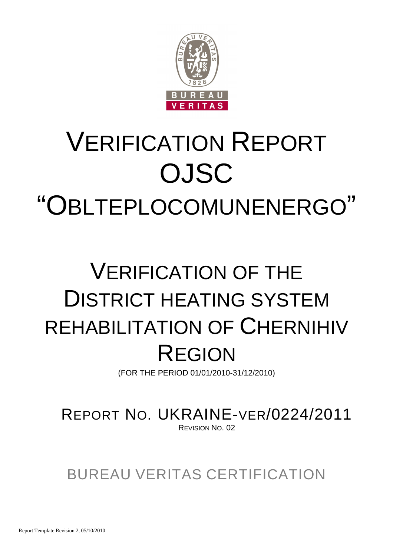

# VERIFICATION REPORT OJSC "OBLTEPLOCOMUNENERGO"

# VERIFICATION OF THE DISTRICT HEATING SYSTEM REHABILITATION OF CHERNIHIV REGION

(FOR THE PERIOD 01/01/2010-31/12/2010)

REPORT NO. UKRAINE-VER/0224/2011 REVISION NO. 02

BUREAU VERITAS CERTIFICATION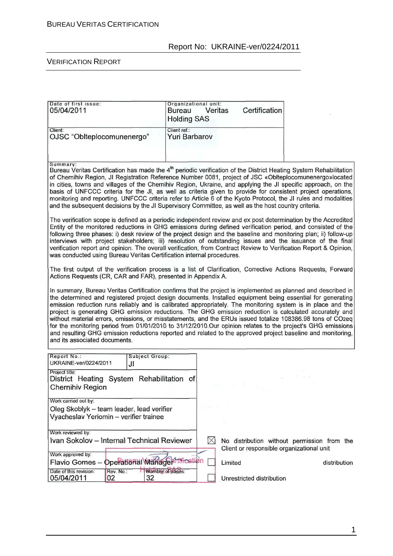| Date of first issue:<br>05/04/2011                                                                                                                                                                                                                                                                                                                                                                                                                                                                                                                                                                                                                                                                                                                                                                                               | Organizational unit:<br>Bureau                                                                                                                                                | Veritas | Certification             |                                                                                          |  |  |
|----------------------------------------------------------------------------------------------------------------------------------------------------------------------------------------------------------------------------------------------------------------------------------------------------------------------------------------------------------------------------------------------------------------------------------------------------------------------------------------------------------------------------------------------------------------------------------------------------------------------------------------------------------------------------------------------------------------------------------------------------------------------------------------------------------------------------------|-------------------------------------------------------------------------------------------------------------------------------------------------------------------------------|---------|---------------------------|------------------------------------------------------------------------------------------|--|--|
|                                                                                                                                                                                                                                                                                                                                                                                                                                                                                                                                                                                                                                                                                                                                                                                                                                  | <b>Holding SAS</b>                                                                                                                                                            |         |                           |                                                                                          |  |  |
| Client:<br>OJSC "Oblteplocomunenergo"                                                                                                                                                                                                                                                                                                                                                                                                                                                                                                                                                                                                                                                                                                                                                                                            | Client ref.:<br><b>Yuri Barbarov</b>                                                                                                                                          |         |                           |                                                                                          |  |  |
| Summary:<br>Bureau Veritas Certification has made the 4 <sup>th</sup> periodic verification of the District Heating System Rehabilitation<br>of Chernihiv Region, JI Registration Reference Number 0081, project of JSC «Oblteplocomunenergo»located<br>in cities, towns and villages of the Chernihiv Region, Ukraine, and applying the JI specific approach, on the<br>basis of UNFCCC criteria for the JI, as well as criteria given to provide for consistent project operations,<br>monitoring and reporting. UNFCCC criteria refer to Article 6 of the Kyoto Protocol, the JI rules and modalities<br>and the subsequent decisions by the JI Supervisory Committee, as well as the host country criteria.                                                                                                                  |                                                                                                                                                                               |         |                           |                                                                                          |  |  |
| The verification scope is defined as a periodic independent review and ex post determination by the Accredited<br>Entity of the monitored reductions in GHG emissions during defined verification period, and consisted of the<br>following three phases: i) desk review of the project design and the baseline and monitoring plan; ii) follow-up<br>interviews with project stakeholders; iii) resolution of outstanding issues and the issuance of the final<br>verification report and opinion. The overall verification, from Contract Review to Verification Report & Opinion,<br>was conducted using Bureau Veritas Certification internal procedures.                                                                                                                                                                    |                                                                                                                                                                               |         |                           |                                                                                          |  |  |
|                                                                                                                                                                                                                                                                                                                                                                                                                                                                                                                                                                                                                                                                                                                                                                                                                                  | The first output of the verification process is a list of Clarification, Corrective Actions Requests, Forward<br>Actions Requests (CR, CAR and FAR), presented in Appendix A. |         |                           |                                                                                          |  |  |
| In summary, Bureau Veritas Certification confirms that the project is implemented as planned and described in<br>the determined and registered project design documents. Installed equipment being essential for generating<br>emission reduction runs reliably and is calibrated appropriately. The monitoring system is in place and the<br>project is generating GHG emission reductions. The GHG emission reduction is calculated accurately and<br>without material errors, omissions, or misstatements, and the ERUs issued totalize 108386.98 tons of CO2eq<br>for the monitoring period from 01/01/2010 to 31/12/2010.Our opinion relates to the project's GHG emissions<br>and resulting GHG emission reductions reported and related to the approved project baseline and monitoring,<br>and its associated documents. |                                                                                                                                                                               |         |                           |                                                                                          |  |  |
| Report No.:<br>Subject Group:<br>UKRAINE-ver/0224/2011<br>JI                                                                                                                                                                                                                                                                                                                                                                                                                                                                                                                                                                                                                                                                                                                                                                     |                                                                                                                                                                               |         |                           |                                                                                          |  |  |
| Project title:<br>District Heating System Rehabilitation of<br><b>Chernihiv Region</b>                                                                                                                                                                                                                                                                                                                                                                                                                                                                                                                                                                                                                                                                                                                                           |                                                                                                                                                                               |         |                           |                                                                                          |  |  |
| Work carried out by:<br>Oleg Skoblyk – team leader, lead verifier<br>Vyacheslav Yeriomin - verifier trainee                                                                                                                                                                                                                                                                                                                                                                                                                                                                                                                                                                                                                                                                                                                      |                                                                                                                                                                               |         |                           |                                                                                          |  |  |
| Work reviewed by:                                                                                                                                                                                                                                                                                                                                                                                                                                                                                                                                                                                                                                                                                                                                                                                                                |                                                                                                                                                                               |         |                           |                                                                                          |  |  |
| Ivan Sokolov - Internal Technical Reviewer<br>Work approved by:                                                                                                                                                                                                                                                                                                                                                                                                                                                                                                                                                                                                                                                                                                                                                                  | $\boxtimes$                                                                                                                                                                   |         |                           | No distribution without permission from the<br>Client or responsible organizational unit |  |  |
| Operational Manageprincation<br>Flavio Gomes-                                                                                                                                                                                                                                                                                                                                                                                                                                                                                                                                                                                                                                                                                                                                                                                    |                                                                                                                                                                               | Limited |                           | distribution                                                                             |  |  |
| Date of this revision:<br>Rev. No.:<br>32<br>05/04/2011<br>02                                                                                                                                                                                                                                                                                                                                                                                                                                                                                                                                                                                                                                                                                                                                                                    | Number of pages:                                                                                                                                                              |         | Unrestricted distribution |                                                                                          |  |  |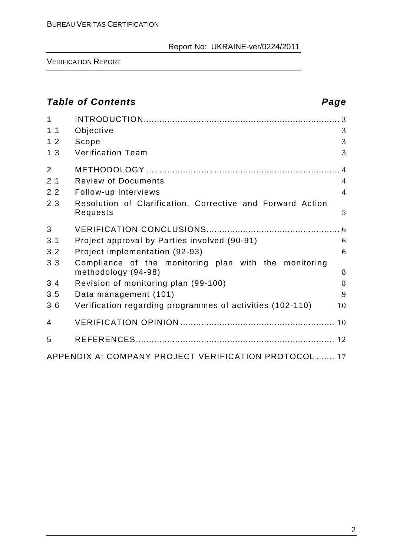VERIFICATION REPORT

# **Table of Contents Page**

| $\mathbf{1}$<br>1.1<br>1.2<br>1.3           | Objective<br>Scope<br><b>Verification Team</b>                                                                                                                                                                                                                                               | 3<br>3<br>3                           |
|---------------------------------------------|----------------------------------------------------------------------------------------------------------------------------------------------------------------------------------------------------------------------------------------------------------------------------------------------|---------------------------------------|
| $\overline{2}$<br>2.1<br>2.2<br>2.3         | <b>Review of Documents</b><br>Follow-up Interviews<br>Resolution of Clarification, Corrective and Forward Action<br>Requests                                                                                                                                                                 | $\overline{4}$<br>$\overline{4}$<br>5 |
| 3<br>3.1<br>3.2<br>3.3<br>3.4<br>3.5<br>3.6 | Project approval by Parties involved (90-91)<br>Project implementation (92-93)<br>Compliance of the monitoring plan with the monitoring<br>methodology (94-98)<br>Revision of monitoring plan (99-100)<br>Data management (101)<br>Verification regarding programmes of activities (102-110) | 6<br>6<br>8<br>8<br>9<br>10           |
| 4<br>5                                      |                                                                                                                                                                                                                                                                                              |                                       |
|                                             | APPENDIX A: COMPANY PROJECT VERIFICATION PROTOCOL  17                                                                                                                                                                                                                                        |                                       |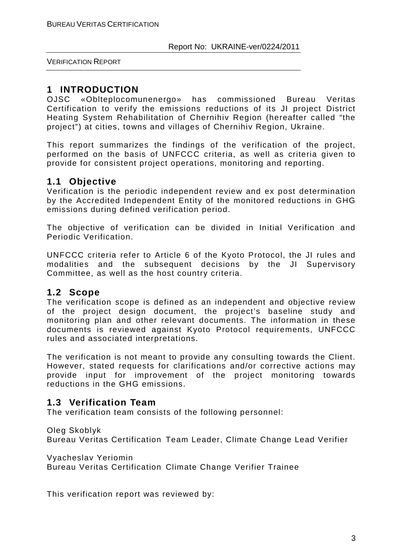VERIFICATION REPORT

# **1 INTRODUCTION**

OJSC «Oblteplocomunenergo» has commissioned Bureau Veritas Certification to verify the emissions reductions of its JI project District Heating System Rehabilitation of Chernihiv Region (hereafter called "the project") at cities, towns and villages of Chernihiv Region, Ukraine.

This report summarizes the findings of the verification of the project, performed on the basis of UNFCCC criteria, as well as criteria given to provide for consistent project operations, monitoring and reporting.

# **1.1 Objective**

Verification is the periodic independent review and ex post determination by the Accredited Independent Entity of the monitored reductions in GHG emissions during defined verification period.

The objective of verification can be divided in Initial Verification and Periodic Verification.

UNFCCC criteria refer to Article 6 of the Kyoto Protocol, the JI rules and modalities and the subsequent decisions by the JI Supervisory Committee, as well as the host country criteria.

# **1.2 Scope**

The verification scope is defined as an independent and objective review of the project design document, the project's baseline study and monitoring plan and other relevant documents. The information in these documents is reviewed against Kyoto Protocol requirements, UNFCCC rules and associated interpretations.

The verification is not meant to provide any consulting towards the Client. However, stated requests for clarifications and/or corrective actions may provide input for improvement of the project monitoring towards reductions in the GHG emissions.

# **1.3 Verification Team**

The verification team consists of the following personnel:

Oleg Skoblyk

Bureau Veritas Certification Team Leader, Climate Change Lead Verifier

Vyacheslav Yeriomin

Bureau Veritas Certification Climate Change Verifier Trainee

This verification report was reviewed by: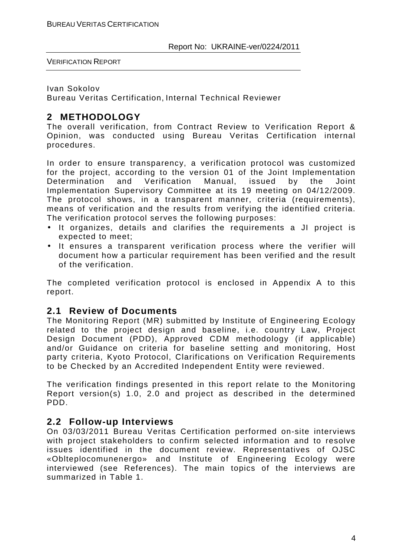Ivan Sokolov

Bureau Veritas Certification, Internal Technical Reviewer

# **2 METHODOLOGY**

The overall verification, from Contract Review to Verification Report & Opinion, was conducted using Bureau Veritas Certification internal procedures.

In order to ensure transparency, a verification protocol was customized for the project, according to the version 01 of the Joint Implementation Determination and Verification Manual, issued by the Joint Implementation Supervisory Committee at its 19 meeting on 04/12/2009. The protocol shows, in a transparent manner, criteria (requirements), means of verification and the results from verifying the identified criteria. The verification protocol serves the following purposes:

- It organizes, details and clarifies the requirements a JI project is expected to meet;
- It ensures a transparent verification process where the verifier will document how a particular requirement has been verified and the result of the verification.

The completed verification protocol is enclosed in Appendix A to this report.

# **2.1 Review of Documents**

The Monitoring Report (MR) submitted by Institute of Engineering Ecology related to the project design and baseline, i.e. country Law, Project Design Document (PDD), Approved CDM methodology (if applicable) and/or Guidance on criteria for baseline setting and monitoring, Host party criteria, Kyoto Protocol, Clarifications on Verification Requirements to be Checked by an Accredited Independent Entity were reviewed.

The verification findings presented in this report relate to the Monitoring Report version(s) 1.0, 2.0 and project as described in the determined PDD.

# **2.2 Follow-up Interviews**

On 03/03/2011 Bureau Veritas Certification performed on-site interviews with project stakeholders to confirm selected information and to resolve issues identified in the document review. Representatives of OJSC «Oblteplocomunenergo» and Institute of Engineering Ecology were interviewed (see References). The main topics of the interviews are summarized in Table 1.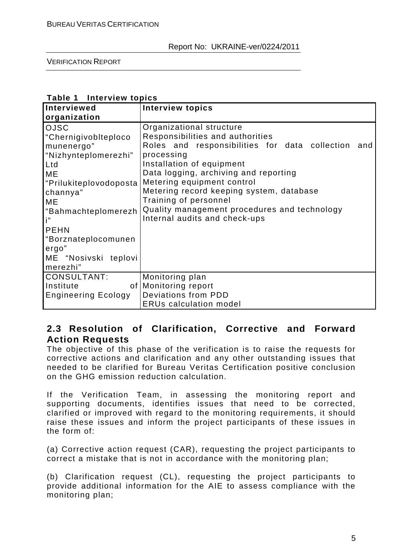VERIFICATION REPORT

| Interviewed                | <b>Interview topics</b>                            |
|----------------------------|----------------------------------------------------|
| organization               |                                                    |
| <b>OJSC</b>                | Organizational structure                           |
| "Chernigivobiteploco       | Responsibilities and authorities                   |
| munenergo"                 | Roles and responsibilities for data collection and |
| "Nizhynteplomerezhi"       | processing                                         |
| Ltd                        | Installation of equipment                          |
| ME                         | Data logging, archiving and reporting              |
| "Prilukiteplovodoposta     | Metering equipment control                         |
| channya"                   | Metering record keeping system, database           |
| MЕ                         | Training of personnel                              |
| "Bahmachteplomerezh        | Quality management procedures and technology       |
| i"                         | Internal audits and check-ups                      |
| <b>PEHN</b>                |                                                    |
| "Borznateplocomunen        |                                                    |
| ergo"                      |                                                    |
| ME "Nosivski teplovi       |                                                    |
| merezhi"                   |                                                    |
| <b>CONSULTANT:</b>         | Monitoring plan                                    |
| Institute                  | of Monitoring report                               |
| <b>Engineering Ecology</b> | Deviations from PDD                                |
|                            | <b>ERUs calculation model</b>                      |

#### **Table 1 Interview topics**

# **2.3 Resolution of Clarification, Corrective and Forward Action Requests**

The objective of this phase of the verification is to raise the requests for corrective actions and clarification and any other outstanding issues that needed to be clarified for Bureau Veritas Certification positive conclusion on the GHG emission reduction calculation.

If the Verification Team, in assessing the monitoring report and supporting documents, identifies issues that need to be corrected, clarified or improved with regard to the monitoring requirements, it should raise these issues and inform the project participants of these issues in the form of:

(a) Corrective action request (CAR), requesting the project participants to correct a mistake that is not in accordance with the monitoring plan;

(b) Clarification request (CL), requesting the project participants to provide additional information for the AIE to assess compliance with the monitoring plan;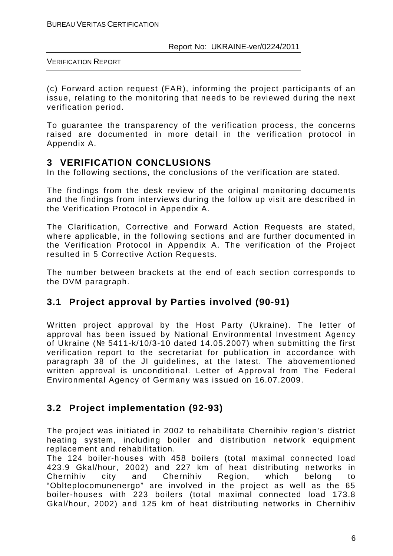(c) Forward action request (FAR), informing the project participants of an issue, relating to the monitoring that needs to be reviewed during the next verification period.

To guarantee the transparency of the verification process, the concerns raised are documented in more detail in the verification protocol in Appendix A.

# **3 VERIFICATION CONCLUSIONS**

In the following sections, the conclusions of the verification are stated.

The findings from the desk review of the original monitoring documents and the findings from interviews during the follow up visit are described in the Verification Protocol in Appendix A.

The Clarification, Corrective and Forward Action Requests are stated, where applicable, in the following sections and are further documented in the Verification Protocol in Appendix A. The verification of the Project resulted in 5 Corrective Action Requests.

The number between brackets at the end of each section corresponds to the DVM paragraph.

# **3.1 Project approval by Parties involved (90-91)**

Written project approval by the Host Party (Ukraine). The letter of approval has been issued by National Environmental Investment Agency of Ukraine (№ 5411-k/10/3-10 dated 14.05.2007) when submitting the first verification report to the secretariat for publication in accordance with paragraph 38 of the JI guidelines, at the latest. The abovementioned written approval is unconditional. Letter of Approval from The Federal Environmental Agency of Germany was issued on 16.07.2009.

# **3.2 Project implementation (92-93)**

The project was initiated in 2002 to rehabilitate Chernihiv region's district heating system, including boiler and distribution network equipment replacement and rehabilitation.

The 124 boiler-houses with 458 boilers (total maximal connected load 423.9 Gkal/hour, 2002) and 227 km of heat distributing networks in Chernihiv city and Chernihiv Region, which belong to "Oblteplocomunenergo" are involved in the project as well as the 65 boiler-houses with 223 boilers (total maximal connected load 173.8 Gkal/hour, 2002) and 125 km of heat distributing networks in Chernihiv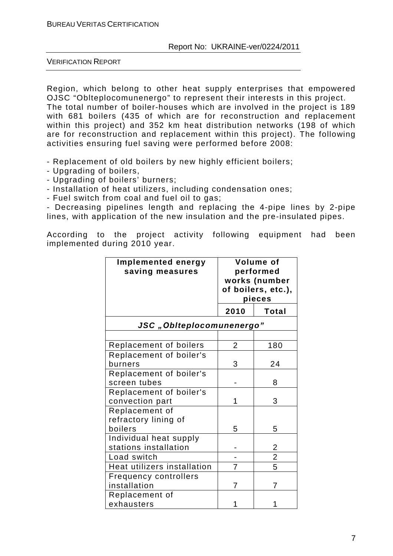VERIFICATION REPORT

Region, which belong to other heat supply enterprises that empowered OJSC "Oblteplocomunenergo" to represent their interests in this project. The total number of boiler-houses which are involved in the project is 189 with 681 boilers (435 of which are for reconstruction and replacement within this project) and 352 km heat distribution networks (198 of which

are for reconstruction and replacement within this project). The following

- Replacement of old boilers by new highly efficient boilers;

activities ensuring fuel saving were performed before 2008:

- Upgrading of boilers,
- Upgrading of boilers' burners;
- Installation of heat utilizers, including condensation ones;
- Fuel switch from coal and fuel oil to gas;

- Decreasing pipelines length and replacing the 4-pipe lines by 2-pipe lines, with application of the new insulation and the pre-insulated pipes.

According to the project activity following equipment had been implemented during 2010 year.

| Implemented energy<br>saving measures             | Volume of<br>performed<br>works (number<br>of boilers, etc.),<br>pieces |                |
|---------------------------------------------------|-------------------------------------------------------------------------|----------------|
|                                                   | 2010                                                                    | Total          |
| JSC "Oblteplocomunenergo"                         |                                                                         |                |
|                                                   |                                                                         |                |
| Replacement of boilers                            | $\overline{2}$                                                          | 180            |
| Replacement of boiler's<br>burners                | 3                                                                       | 24             |
| Replacement of boiler's<br>screen tubes           |                                                                         | 8              |
| Replacement of boiler's<br>convection part        | 1                                                                       | 3              |
| Replacement of<br>refractory lining of<br>boilers | 5                                                                       | 5              |
| Individual heat supply<br>stations installation   |                                                                         | 2              |
| Load switch                                       |                                                                         | $\overline{2}$ |
| Heat utilizers installation                       | $\overline{7}$                                                          | $\overline{5}$ |
| <b>Frequency controllers</b><br>installation      | $\overline{7}$                                                          | 7              |
| Replacement of<br>exhausters                      | 1                                                                       | 1              |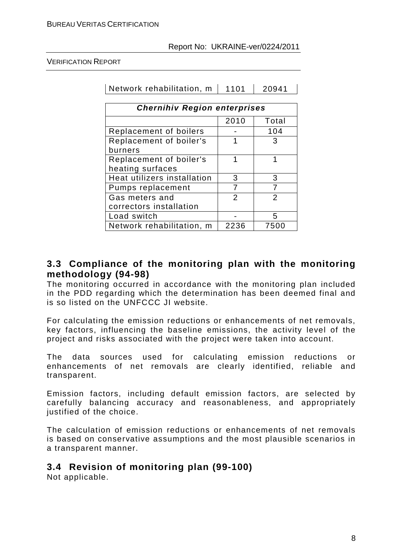Network rehabilitation, m  $\vert$  1101  $\vert$  20941

| <b>Chernihiv Region enterprises</b> |      |                |  |  |
|-------------------------------------|------|----------------|--|--|
|                                     | 2010 | Total          |  |  |
| Replacement of boilers              |      | 104            |  |  |
| Replacement of boiler's             | 1    | 3              |  |  |
| burners                             |      |                |  |  |
| Replacement of boiler's             | 1    | 1              |  |  |
| heating surfaces                    |      |                |  |  |
| Heat utilizers installation         | 3    | 3              |  |  |
| Pumps replacement                   | 7    | 7              |  |  |
| Gas meters and                      | 2    | $\overline{2}$ |  |  |
| correctors installation             |      |                |  |  |
| Load switch                         |      | 5              |  |  |
| Network rehabilitation, m           | 2236 | 7500           |  |  |

# **3.3 Compliance of the monitoring plan with the monitoring methodology (94-98)**

The monitoring occurred in accordance with the monitoring plan included in the PDD regarding which the determination has been deemed final and is so listed on the UNFCCC JI website.

For calculating the emission reductions or enhancements of net removals, key factors, influencing the baseline emissions, the activity level of the project and risks associated with the project were taken into account.

The data sources used for calculating emission reductions or enhancements of net removals are clearly identified, reliable and transparent.

Emission factors, including default emission factors, are selected by carefully balancing accuracy and reasonableness, and appropriately justified of the choice.

The calculation of emission reductions or enhancements of net removals is based on conservative assumptions and the most plausible scenarios in a transparent manner.

# **3.4 Revision of monitoring plan (99-100)**

Not applicable.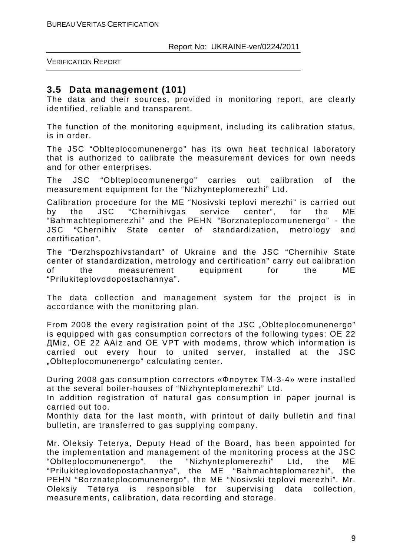### **3.5 Data management (101)**

The data and their sources, provided in monitoring report, are clearly identified, reliable and transparent.

The function of the monitoring equipment, including its calibration status, is in order.

The JSC "Oblteplocomunenergo" has its own heat technical laboratory that is authorized to calibrate the measurement devices for own needs and for other enterprises.

The JSC "Oblteplocomunenergo" carries out calibration of the measurement equipment for the "Nizhynteplomerezhi" Ltd.

Calibration procedure for the ME "Nosivski teplovi merezhi" is carried out by the JSC "Chernihivgas service center", for the ME "Bahmachteplomerezhi" and the PEHN "Borznateplocomunenergo" - the JSC "Chernihiv State center of standardization, metrology and certification".

The "Derzhspozhivstandart" of Ukraine and the JSC "Chernihiv State center of standardization, metrology and certification" carry out calibration of the measurement equipment for the ME "Prilukiteplovodopostachannya".

The data collection and management system for the project is in accordance with the monitoring plan.

From 2008 the every registration point of the JSC "Oblteplocomunenergo" is equipped with gas consumption correctors of the following types: ОЕ 22 ДМiz, ОЕ 22 ААiz and ОЕ VPT with modems, throw which information is carried out every hour to united server, installed at the JSC "Оblteplocomunenergo" calculating center.

During 2008 gas consumption correctors «Флоутек ТМ-3-4» were installed at the several boiler-houses of "Nizhynteplomerezhi" Ltd.

In addition registration of natural gas consumption in paper journal is carried out too.

Monthly data for the last month, with printout of daily bulletin and final bulletin, are transferred to gas supplying company.

Mr. Oleksiy Teterya, Deputy Head of the Board, has been appointed for the implementation and management of the monitoring process at the JSC "Oblteplocomunenergo", the "Nizhynteplomerezhi" Ltd, the ME "Prilukiteplovodopostachannya", the ME "Bahmachteplomerezhi", the PEHN "Borznateplocomunenergo", the ME "Nosivski teplovi merezhi". Mr. Oleksiy Teterya is responsible for supervising data collection, measurements, calibration, data recording and storage.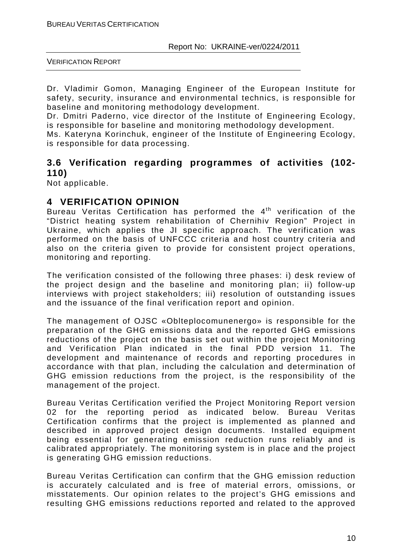Dr. Vladimir Gomon, Managing Engineer of the European Institute for safety, security, insurance and environmental technics, is responsible for baseline and monitoring methodology development.

Dr. Dmitri Paderno, vice director of the Institute of Engineering Ecology, is responsible for baseline and monitoring methodology development.

Ms. Kateryna Korinchuk, engineer of the Institute of Engineering Ecology, is responsible for data processing.

# **3.6 Verification regarding programmes of activities (102- 110)**

Not applicable.

# **4 VERIFICATION OPINION**

Bureau Veritas Certification has performed the  $4<sup>th</sup>$  verification of the "District heating system rehabilitation of Chernihiv Region" Project in Ukraine, which applies the JI specific approach. The verification was performed on the basis of UNFCCC criteria and host country criteria and also on the criteria given to provide for consistent project operations, monitoring and reporting.

The verification consisted of the following three phases: i) desk review of the project design and the baseline and monitoring plan; ii) follow-up interviews with project stakeholders; iii) resolution of outstanding issues and the issuance of the final verification report and opinion.

The management of OJSC «Oblteplocomunenergo» is responsible for the preparation of the GHG emissions data and the reported GHG emissions reductions of the project on the basis set out within the project Monitoring and Verification Plan indicated in the final PDD version 11. The development and maintenance of records and reporting procedures in accordance with that plan, including the calculation and determination of GHG emission reductions from the project, is the responsibility of the management of the project.

Bureau Veritas Certification verified the Project Monitoring Report version 02 for the reporting period as indicated below. Bureau Veritas Certification confirms that the project is implemented as planned and described in approved project design documents. Installed equipment being essential for generating emission reduction runs reliably and is calibrated appropriately. The monitoring system is in place and the project is generating GHG emission reductions.

Bureau Veritas Certification can confirm that the GHG emission reduction is accurately calculated and is free of material errors, omissions, or misstatements. Our opinion relates to the project's GHG emissions and resulting GHG emissions reductions reported and related to the approved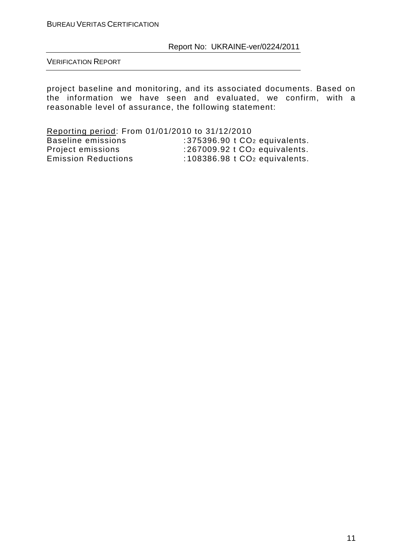VERIFICATION REPORT

project baseline and monitoring, and its associated documents. Based on the information we have seen and evaluated, we confirm, with a reasonable level of assurance, the following statement:

Reporting period: From 01/01/2010 to 31/12/2010 Baseline emissions : 375396.90 t CO<sub>2</sub> equivalents.<br>Project emissions : 267009.92 t CO<sub>2</sub> equivalents.<br>Emission Reductions : 108386.98 t CO<sub>2</sub> equivalents.  $: 267009.92$  t CO<sub>2</sub> equivalents. .2010 ـ 2013 ـ الكلاية المعروف.<br>108386.98 t CO2 equivalents.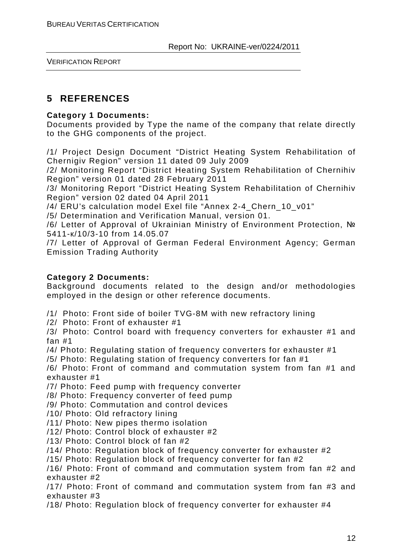# **5 REFERENCES**

#### **Category 1 Documents:**

Documents provided by Type the name of the company that relate directly to the GHG components of the project.

/1/ Project Design Document "District Heating System Rehabilitation of Chernigiv Region" version 11 dated 09 July 2009

/2/ Monitoring Report "District Heating System Rehabilitation of Chernihiv Region" version 01 dated 28 February 2011

/3/ Monitoring Report "District Heating System Rehabilitation of Chernihiv Region" version 02 dated 04 April 2011

/4/ ERU's calculation model Exel file "Annex 2-4\_Chern\_10\_v01"

/5/ Determination and Verification Manual, version 01.

/6/ Letter of Approval of Ukrainian Ministry of Environment Protection, № 5411-к/10/3-10 from 14.05.07

/7/ Letter of Approval of German Federal Environment Agency; German Emission Trading Authority

#### **Category 2 Documents:**

Background documents related to the design and/or methodologies employed in the design or other reference documents.

- /1/ Photo: Front side of boiler TVG-8M with new refractory lining
- /2/ Photo: Front of exhauster #1
- /3/ Photo: Control board with frequency converters for exhauster #1 and fan #1
- /4/ Photo: Regulating station of frequency converters for exhauster #1

/5/ Photo: Regulating station of frequency converters for fan #1

/6/ Photo: Front of command and commutation system from fan #1 and exhauster #1

- /7/ Photo: Feed pump with frequency converter
- /8/ Photo: Frequency converter of feed pump
- /9/ Photo: Commutation and control devices
- /10/ Photo: Old refractory lining
- /11/ Photo: New pipes thermo isolation
- /12/ Photo: Control block of exhauster #2
- /13/ Photo: Control block of fan #2
- /14/ Photo: Regulation block of frequency converter for exhauster #2
- /15/ Photo: Regulation block of frequency converter for fan #2

/16/ Photo: Front of command and commutation system from fan #2 and exhauster #2

/17/ Photo: Front of command and commutation system from fan #3 and exhauster #3

/18/ Photo: Regulation block of frequency converter for exhauster #4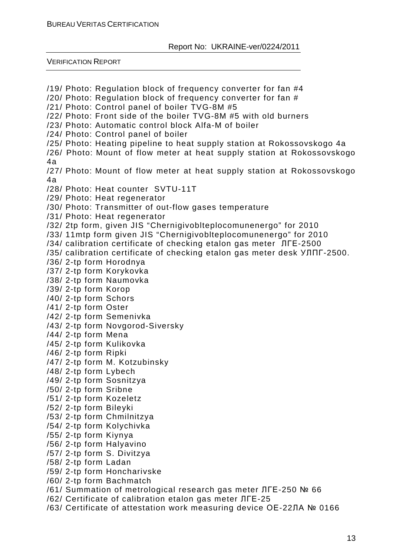VERIFICATION REPORT

/19/ Photo: Regulation block of frequency converter for fan #4 /20/ Photo: Regulation block of frequency converter for fan # /21/ Photo: Control panel of boiler TVG-8M #5 /22/ Photo: Front side of the boiler TVG-8M #5 with old burners /23/ Photo: Automatic control block Alfa-M of boiler /24/ Photo: Control panel of boiler /25/ Photo: Heating pipeline to heat supply station at Rokossovskogo 4a /26/ Photo: Mount of flow meter at heat supply station at Rokossovskogo 4a /27/ Photo: Mount of flow meter at heat supply station at Rokossovskogo 4a /28/ Photo: Heat counter SVTU-11T /29/ Photo: Heat regenerator /30/ Photo: Transmitter of out-flow gases temperature /31/ Photo: Heat regenerator /32/ 2tp form, given JIS "Chernigivoblteplocomunenergo" for 2010 /33/ 11mtp form given JIS "Chernigivoblteplocomunenergo" for 2010 /34/ calibration certificate of checking etalon gas meter ЛГЕ-2500 /35/ calibration certificate of checking etalon gas meter desk УЛПГ-2500. /36/ 2-tp form Horodnya /37/ 2-tp form Korykovka /38/ 2-tp form Naumovka /39/ 2-tp form Korop /40/ 2-tp form Schors /41/ 2-tp form Oster /42/ 2-tp form Semenivka /43/ 2-tp form Novgorod-Siversky /44/ 2-tp form Mena /45/ 2-tp form Kulikovka /46/ 2-tp form Ripki /47/ 2-tp form M. Kotzubinsky /48/ 2-tp form Lybech /49/ 2-tp form Sosnitzya /50/ 2-tp form Sribne /51/ 2-tp form Kozeletz /52/ 2-tp form Bileyki /53/ 2-tp form Chmilnitzya /54/ 2-tp form Kolychivka /55/ 2-tp form Kiynya /56/ 2-tp form Halyavino /57/ 2-tp form S. Divitzya /58/ 2-tp form Ladan /59/ 2-tp form Honcharivske /60/ 2-tp form Bachmatch /61/ Summation of metrological research gas meter ЛГЕ-250 № 66 /62/ Certificate of calibration etalon gas meter ЛГЕ-25

/63/ Certificate of attestation work measuring device ОЕ-22ЛА № 0166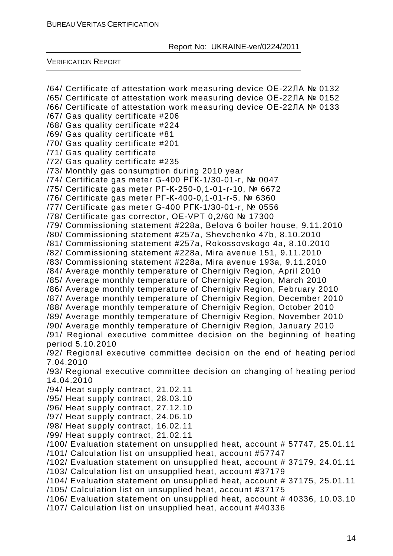VERIFICATION REPORT

/64/ Certificate of attestation work measuring device ОЕ-22ЛА № 0132 /65/ Certificate of attestation work measuring device ОЕ-22ЛА № 0152 /66/ Certificate of attestation work measuring device ОЕ-22ЛА № 0133 /67/ Gas quality certificate #206 /68/ Gas quality certificate #224 /69/ Gas quality certificate #81 /70/ Gas quality certificate #201 /71/ Gas quality certificate /72/ Gas quality certificate #235 /73/ Monthly gas consumption during 2010 year /74/ Certificate gas meter G-400 РГК-1/30-01-r, № 0047 /75/ Certificate gas meter РГ-К-250-0,1-01-r-10, № 6672 /76/ Certificate gas meter РГ-К-400-0,1-01-r-5, № 6360 /77/ Certificate gas meter G-400 РГК-1/30-01-r, № 0556 /78/ Certificate gas corrector, OE-VPT 0,2/60 № 17300 /79/ Commissioning statement #228a, Belova 6 boiler house, 9.11.2010 /80/ Commissioning statement #257a, Shevchenko 47b, 8.10.2010 /81/ Commissioning statement #257a, Rokossovskogo 4a, 8.10.2010 /82/ Commissioning statement #228a, Mira avenue 151, 9.11.2010 /83/ Commissioning statement #228a, Mira avenue 193a, 9.11.2010 /84/ Average monthly temperature of Chernigiv Region, April 2010 /85/ Average monthly temperature of Chernigiv Region, March 2010 /86/ Average monthly temperature of Chernigiv Region, February 2010 /87/ Average monthly temperature of Chernigiv Region, December 2010 /88/ Average monthly temperature of Chernigiv Region, October 2010 /89/ Average monthly temperature of Chernigiv Region, November 2010 /90/ Average monthly temperature of Chernigiv Region, January 2010 /91/ Regional executive committee decision on the beginning of heating period 5.10.2010 /92/ Regional executive committee decision on the end of heating period 7.04.2010 /93/ Regional executive committee decision on changing of heating period 14.04.2010 /94/ Heat supply contract, 21.02.11 /95/ Heat supply contract, 28.03.10 /96/ Heat supply contract, 27.12.10 /97/ Heat supply contract, 24.06.10 /98/ Heat supply contract, 16.02.11 /99/ Heat supply contract, 21.02.11 /100/ Evaluation statement on unsupplied heat, account # 57747, 25.01.11 /101/ Calculation list on unsupplied heat, account #57747 /102/ Evaluation statement on unsupplied heat, account # 37179, 24.01.11 /103/ Calculation list on unsupplied heat, account #37179 /104/ Evaluation statement on unsupplied heat, account # 37175, 25.01.11 /105/ Calculation list on unsupplied heat, account #37175 /106/ Evaluation statement on unsupplied heat, account # 40336, 10.03.10 /107/ Calculation list on unsupplied heat, account #40336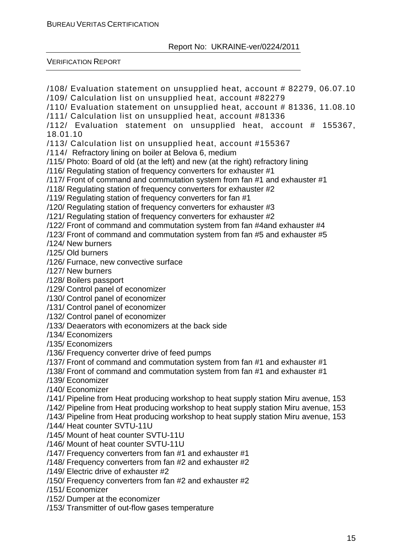VERIFICATION REPORT

/108/ Evaluation statement on unsupplied heat, account # 82279, 06.07.10 /109/ Calculation list on unsupplied heat, account #82279 /110/ Evaluation statement on unsupplied heat, account # 81336, 11.08.10 /111/ Calculation list on unsupplied heat, account #81336 /112/ Evaluation statement on unsupplied heat, account # 155367, 18.01.10 /113/ Calculation list on unsupplied heat, account #155367 /114/ Refractory lining on boiler at Belova 6, medium /115/ Photo: Board of old (at the left) and new (at the right) refractory lining /116/ Regulating station of frequency converters for exhauster #1 /117/ Front of command and commutation system from fan #1 and exhauster #1 /118/ Regulating station of frequency converters for exhauster #2 /119/ Regulating station of frequency converters for fan #1 /120/ Regulating station of frequency converters for exhauster #3 /121/ Regulating station of frequency converters for exhauster #2 /122/ Front of command and commutation system from fan #4and exhauster #4 /123/ Front of command and commutation system from fan #5 and exhauster #5 /124/ New burners /125/ Old burners /126/ Furnace, new convective surface /127/ New burners /128/ Boilers passport /129/ Control panel of economizer /130/ Control panel of economizer /131/ Control panel of economizer /132/ Control panel of economizer /133/ Deaerators with economizers at the back side /134/ Economizers /135/ Economizers /136/ Frequency converter drive of feed pumps /137/ Front of command and commutation system from fan #1 and exhauster #1 /138/ Front of command and commutation system from fan #1 and exhauster #1 /139/ Economizer /140/ Economizer /141/ Pipeline from Heat producing workshop to heat supply station Miru avenue, 153 /142/ Pipeline from Heat producing workshop to heat supply station Miru avenue, 153 /143/ Pipeline from Heat producing workshop to heat supply station Miru avenue, 153 /144/ Heat counter SVTU-11U /145/ Mount of heat counter SVTU-11U /146/ Mount of heat counter SVTU-11U /147/ Frequency converters from fan #1 and exhauster #1 /148/ Frequency converters from fan #2 and exhauster #2 /149/ Electric drive of exhauster #2 /150/ Frequency converters from fan #2 and exhauster #2 /151/ Economizer /152/ Dumper at the economizer /153/ Transmitter of out-flow gases temperature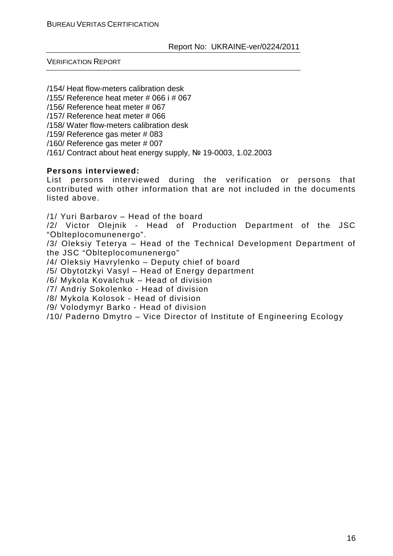VERIFICATION REPORT

/154/ Heat flow-meters calibration desk

/155/ Reference heat meter # 066 і # 067

/156/ Reference heat meter # 067

/157/ Reference heat meter # 066

/158/ Water flow-meters calibration desk

/159/ Reference gas meter # 083

/160/ Reference gas meter # 007

/161/ Contract about heat energy supply, № 19-0003, 1.02.2003

#### **Persons interviewed:**

List persons interviewed during the verification or persons that contributed with other information that are not included in the documents listed above.

/1/ Yuri Barbarov – Head of the board

/2/ Victor Olejnik - Head of Production Department of the JSC "Оblteplocomunenergo".

/3/ Oleksiy Teterya – Head of the Technical Development Department of the JSC "Оblteplocomunenergo"

/4/ Oleksiy Havrylenko – Deputy chief of board

/5/ Obytotzkyi Vasyl – Head of Energy department

/6/ Mykola Kovalchuk – Head of division

/7/ Andriy Sokolenko - Head of division

/8/ Mykola Kolosok - Head of division

/9/ Volodymyr Barko - Head of division

/10/ Paderno Dmytro – Vice Director of Institute of Engineering Ecology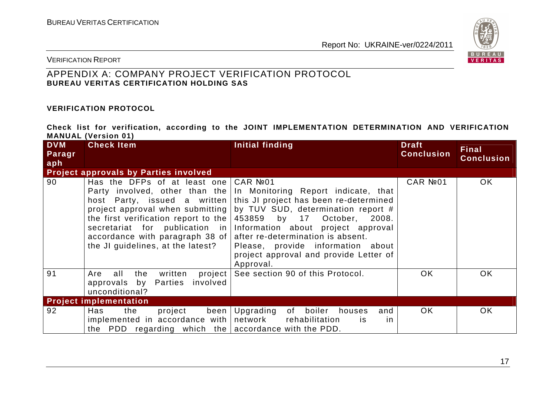

VERIFICATION REPORT

### APPENDIX A: COMPANY PROJECT VERIFICATION PROTOCOL **BUREAU VERITAS CERTIFICATION HOLDING SAS**

#### **VERIFICATION PROTOCOL**

**Check list for verification, according to the JOINT IMPLEMENTATION DETERMINATION AND VERIFICATION MANUAL (Version 01)**

| <b>DVM</b>    | <b>Check Item</b>                                                                                                                                                                                             | Initial finding                                                                                                                                                                                                                                                                                                                                                                                     | <b>Draft</b>      | <b>Final</b>      |
|---------------|---------------------------------------------------------------------------------------------------------------------------------------------------------------------------------------------------------------|-----------------------------------------------------------------------------------------------------------------------------------------------------------------------------------------------------------------------------------------------------------------------------------------------------------------------------------------------------------------------------------------------------|-------------------|-------------------|
| Paragr<br>aph |                                                                                                                                                                                                               |                                                                                                                                                                                                                                                                                                                                                                                                     | <b>Conclusion</b> | <b>Conclusion</b> |
|               | <b>Project approvals by Parties involved</b>                                                                                                                                                                  |                                                                                                                                                                                                                                                                                                                                                                                                     |                   |                   |
| 90            | Has the DFPs of at least one $CAR N201$<br>the first verification report to the $ 453859$ by 17<br>accordance with paragraph 38 of $ $ after re-determination is absent.<br>the JI guidelines, at the latest? | Party involved, other than the In Monitoring Report indicate, that<br>host Party, issued a written this JI project has been re-determined<br>project approval when submitting by TUV SUD, determination report #<br>October, 2008.<br>secretariat for publication in Information about project approval<br>Please, provide information about<br>project approval and provide Letter of<br>Approval. | CAR Nº01          | OK.               |
| 91            | all<br>the<br>written<br>Are<br>approvals by Parties involved<br>unconditional?                                                                                                                               | project See section 90 of this Protocol.                                                                                                                                                                                                                                                                                                                                                            | <b>OK</b>         | OK                |
|               | <b>Project implementation</b>                                                                                                                                                                                 |                                                                                                                                                                                                                                                                                                                                                                                                     |                   |                   |
| 92            | Has<br>the<br>project<br>been<br>$implemented$ in accordance with network rehabilitation<br>the PDD regarding which the accordance with the PDD.                                                              | Upgrading of boiler<br>houses<br>and<br><b>is</b><br>in.                                                                                                                                                                                                                                                                                                                                            | OK.               | OK                |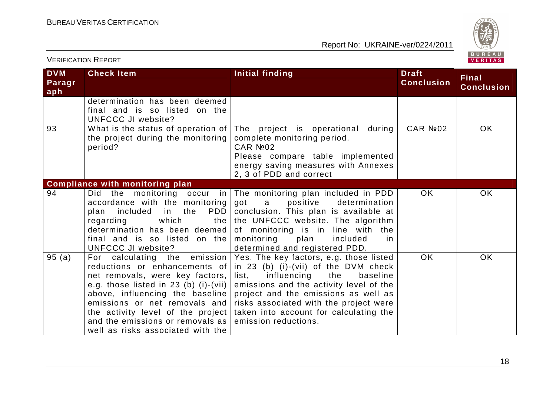

| <b>DVM</b><br>Paragr<br>aph | <b>Check Item</b>                                                                                                                                                                                                                                                | Initial finding                                                                                                                                                                                                                                                                                                                                                                      | <b>Draft</b><br><b>Conclusion</b> | <b>Final</b><br><b>Conclusion</b> |
|-----------------------------|------------------------------------------------------------------------------------------------------------------------------------------------------------------------------------------------------------------------------------------------------------------|--------------------------------------------------------------------------------------------------------------------------------------------------------------------------------------------------------------------------------------------------------------------------------------------------------------------------------------------------------------------------------------|-----------------------------------|-----------------------------------|
|                             | determination has been deemed<br>final and is so listed on the<br><b>UNFCCC JI website?</b>                                                                                                                                                                      |                                                                                                                                                                                                                                                                                                                                                                                      |                                   |                                   |
| 93                          | the project during the monitoring<br>period?                                                                                                                                                                                                                     | What is the status of operation of   The  project  is  operational during  <br>complete monitoring period.<br>CAR Nº02<br>Please compare table implemented<br>energy saving measures with Annexes<br>2, 3 of PDD and correct                                                                                                                                                         | CAR №02                           | <b>OK</b>                         |
|                             | <b>Compliance with monitoring plan</b>                                                                                                                                                                                                                           |                                                                                                                                                                                                                                                                                                                                                                                      |                                   |                                   |
| 94                          | accordance with the monitoring got<br>included in<br>the<br>plan<br>which<br>regarding<br>final and is so listed on the monitoring<br>UNFCCC JI website?                                                                                                         | Did the monitoring occur in The monitoring plan included in PDD<br>positive<br>$\mathsf{a}$<br>determination<br>PDD   conclusion. This plan is available at<br>the the UNFCCC website. The algorithm<br>determination has been deemed of monitoring is in line with the<br>plan<br>included<br>in<br>determined and registered PDD.                                                  | OK.                               | <b>OK</b>                         |
| 95(a)                       | reductions or enhancements of<br>net removals, were key factors,<br>e.g. those listed in 23 (b) (i)-(vii) $ $<br>above, influencing the baseline<br>the activity level of the project<br>and the emissions or removals as I<br>well as risks associated with the | For calculating the emission Yes. The key factors, e.g. those listed<br>in 23 (b) (i)-(vii) of the DVM check<br>influencing<br>list,<br>the<br>baseline<br>emissions and the activity level of the<br>project and the emissions as well as<br>emissions or net removals and risks associated with the project were<br>taken into account for calculating the<br>emission reductions. | <b>OK</b>                         | OK                                |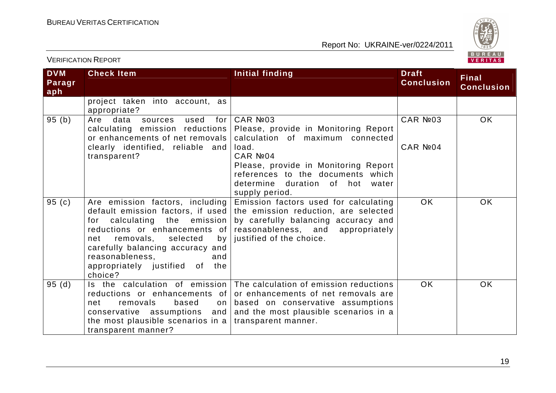

| <b>DVM</b><br>Paragr<br>aph | <b>Check Item</b>                                                                                                                                                                                                                                 | Initial finding                                                                                                                                                                                                                                          | <b>Draft</b><br><b>Conclusion</b> | <b>Final</b><br><b>Conclusion</b> |
|-----------------------------|---------------------------------------------------------------------------------------------------------------------------------------------------------------------------------------------------------------------------------------------------|----------------------------------------------------------------------------------------------------------------------------------------------------------------------------------------------------------------------------------------------------------|-----------------------------------|-----------------------------------|
|                             | project taken into account, as<br>appropriate?                                                                                                                                                                                                    |                                                                                                                                                                                                                                                          |                                   |                                   |
| 95(b)                       | Are data<br>used<br>for  <br>sources<br>calculating emission reductions<br>or enhancements of net removals                                                                                                                                        | CAR Nº03<br>Please, provide in Monitoring Report<br>calculation of maximum connected                                                                                                                                                                     | CAR Nº03                          | OK                                |
|                             | clearly identified, reliable and<br>transparent?                                                                                                                                                                                                  | load.<br>CAR Nº04<br>Please, provide in Monitoring Report<br>references to the documents which<br>determine duration of hot<br>water<br>supply period.                                                                                                   | CAR Nº04                          |                                   |
| 95(c)                       | Are emission factors, including<br>calculating the emission<br>for<br>reductions or enhancements of<br>removals, selected<br>by<br>net<br>carefully balancing accuracy and<br>reasonableness,<br>and<br>appropriately justified of the<br>choice? | Emission factors used for calculating<br>default emission factors, if used the emission reduction, are selected<br>by carefully balancing accuracy and<br>reasonableness, and appropriately<br>justified of the choice.                                  | <b>OK</b>                         | <b>OK</b>                         |
| 95(d)                       | removals<br>based<br>net<br>the most plausible scenarios in a transparent manner.<br>transparent manner?                                                                                                                                          | Is the calculation of emission The calculation of emission reductions<br>reductions or enhancements of or enhancements of net removals are<br>on based on conservative assumptions<br>conservative assumptions and and the most plausible scenarios in a | <b>OK</b>                         | OK                                |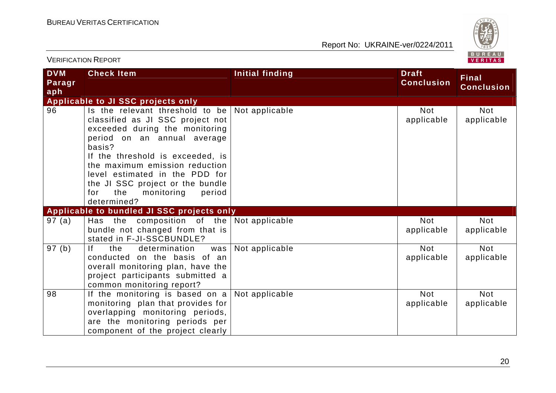

| <b>DVM</b><br>Paragr<br>aph | <b>Check Item</b>                                                                                                                                                                                                                                                                                                                                                      | Initial finding | <b>Draft</b><br><b>Conclusion</b> | <b>Final</b><br><b>Conclusion</b> |
|-----------------------------|------------------------------------------------------------------------------------------------------------------------------------------------------------------------------------------------------------------------------------------------------------------------------------------------------------------------------------------------------------------------|-----------------|-----------------------------------|-----------------------------------|
|                             | Applicable to JI SSC projects only                                                                                                                                                                                                                                                                                                                                     |                 |                                   |                                   |
| 96                          | Is the relevant threshold to be $\vert$ Not applicable<br>classified as JI SSC project not<br>exceeded during the monitoring<br>period on an annual average<br>basis?<br>If the threshold is exceeded, is<br>the maximum emission reduction<br>level estimated in the PDD for<br>the JI SSC project or the bundle<br>for<br>the<br>monitoring<br>period<br>determined? |                 | <b>Not</b><br>applicable          | <b>Not</b><br>applicable          |
|                             | Applicable to bundled JI SSC projects only                                                                                                                                                                                                                                                                                                                             |                 |                                   |                                   |
| 97 (a)                      | Has the composition of the $\vert$ Not applicable<br>bundle not changed from that is<br>stated in F-JI-SSCBUNDLE?                                                                                                                                                                                                                                                      |                 | <b>Not</b><br>applicable          | Not<br>applicable                 |
| 97(b)                       | f <br>determination<br>the<br>was<br>conducted on the basis of an<br>overall monitoring plan, have the<br>project participants submitted a<br>common monitoring report?                                                                                                                                                                                                | Not applicable  | <b>Not</b><br>applicable          | <b>Not</b><br>applicable          |
| 98                          | If the monitoring is based on a Not applicable<br>monitoring plan that provides for<br>overlapping monitoring periods,<br>are the monitoring periods per<br>component of the project clearly                                                                                                                                                                           |                 | <b>Not</b><br>applicable          | <b>Not</b><br>applicable          |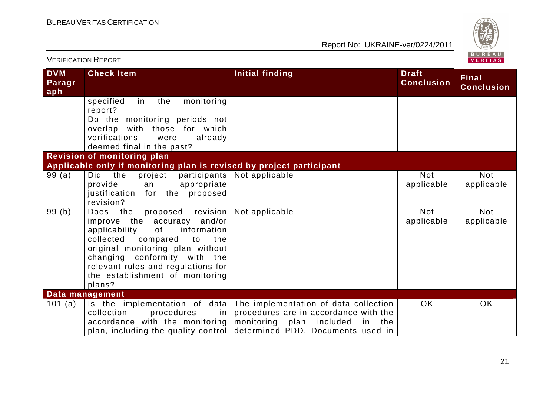

| <b>DVM</b><br>Paragr<br>aph | <b>Check Item</b>                                                                                                                                                                                                                                                                               | <b>Initial finding</b>                                                                                                                                       | <b>Draft</b><br><b>Conclusion</b> | <b>Final</b><br><b>Conclusion</b> |
|-----------------------------|-------------------------------------------------------------------------------------------------------------------------------------------------------------------------------------------------------------------------------------------------------------------------------------------------|--------------------------------------------------------------------------------------------------------------------------------------------------------------|-----------------------------------|-----------------------------------|
|                             | specified<br>monitoring<br>the<br>in<br>report?<br>Do the monitoring periods not<br>overlap with those for which<br>verifications<br>already<br>were                                                                                                                                            |                                                                                                                                                              |                                   |                                   |
|                             | deemed final in the past?                                                                                                                                                                                                                                                                       |                                                                                                                                                              |                                   |                                   |
|                             | Revision of monitoring plan                                                                                                                                                                                                                                                                     |                                                                                                                                                              |                                   |                                   |
| 99(a)                       | Applicable only if monitoring plan is revised by project participant<br>the<br>Did<br>project<br>participants<br>appropriate<br>provide<br>an<br>justification for the proposed<br>revision?                                                                                                    | Not applicable                                                                                                                                               | <b>Not</b><br>applicable          | <b>Not</b><br>applicable          |
| 99(b)                       | proposed revision<br>Does the<br>improve the accuracy and/or<br>0f<br>information<br>applicability<br>collected<br>compared<br>the<br>to<br>original monitoring plan without<br>changing conformity with the<br>relevant rules and regulations for<br>the establishment of monitoring<br>plans? | Not applicable                                                                                                                                               | <b>Not</b><br>applicable          | <b>Not</b><br>applicable          |
|                             | Data management                                                                                                                                                                                                                                                                                 |                                                                                                                                                              |                                   |                                   |
| 101 $(a)$                   | Is the implementation of data<br>collection<br>procedures<br>in<br>accordance with the monitoring<br>plan, including the quality control                                                                                                                                                        | The implementation of data collection<br>procedures are in accordance with the<br>monitoring<br>plan included<br>in the<br>determined PDD. Documents used in | <b>OK</b>                         | OK                                |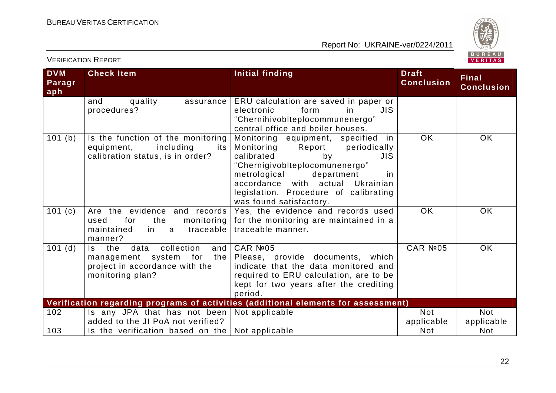

| <b>DVM</b><br>Paragr<br>aph | <b>Check Item</b>                                                                                                          | <b>Initial finding</b>                                                                                                                                                                                                                                                                   | <b>Draft</b><br><b>Conclusion</b> | <b>Final</b><br><b>Conclusion</b> |
|-----------------------------|----------------------------------------------------------------------------------------------------------------------------|------------------------------------------------------------------------------------------------------------------------------------------------------------------------------------------------------------------------------------------------------------------------------------------|-----------------------------------|-----------------------------------|
|                             | quality<br>and<br>assurance  <br>procedures?                                                                               | ERU calculation are saved in paper or<br>form<br>JIS.<br>electronic<br>in.<br>"Chernihivoblteplocommunenergo"<br>central office and boiler houses.                                                                                                                                       |                                   |                                   |
| 101 (b)                     | Is the function of the monitoring<br>including<br>equipment,<br>its<br>calibration status, is in order?                    | Monitoring equipment, specified in<br>Monitoring<br>Report<br>periodically<br>calibrated<br>by<br>JIS.<br>"Chernigivobiteplocomunenergo"<br>department<br>metrological<br>in.<br>accordance with actual<br>Ukrainian<br>legislation. Procedure of calibrating<br>was found satisfactory. | <b>OK</b>                         | <b>OK</b>                         |
| 101 $(c)$                   | Are the evidence and records<br>for<br>the<br>used<br>traceable<br>maintained<br>in.<br>a<br>manner?                       | Yes, the evidence and records used<br>monitoring $ $ for the monitoring are maintained in a<br>traceable manner.                                                                                                                                                                         | OK                                | <b>OK</b>                         |
| $101$ (d)                   | collection<br>the<br>data<br>and<br>ls.<br>management system for the<br>project in accordance with the<br>monitoring plan? | CAR Nº05<br>Please, provide documents, which<br>indicate that the data monitored and<br>required to ERU calculation, are to be<br>kept for two years after the crediting<br>period.                                                                                                      | CAR №05                           | <b>OK</b>                         |
|                             |                                                                                                                            | Verification regarding programs of activities (additional elements for assessment)                                                                                                                                                                                                       |                                   |                                   |
| 102                         | Is any JPA that has not been $\vert$ Not applicable<br>added to the JI PoA not verified?                                   |                                                                                                                                                                                                                                                                                          | <b>Not</b><br>applicable          | <b>Not</b><br>applicable          |
| 103                         | Is the verification based on the $\vert$ Not applicable                                                                    |                                                                                                                                                                                                                                                                                          | <b>Not</b>                        | <b>Not</b>                        |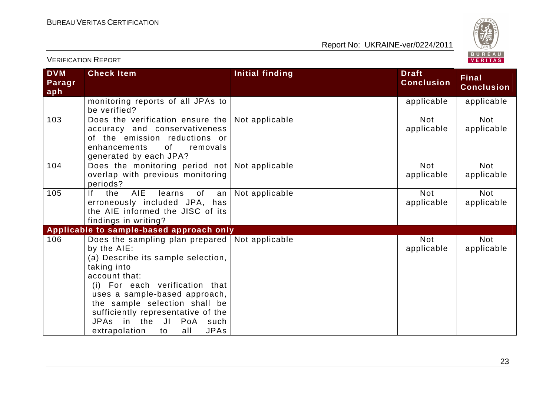

| <b>DVM</b><br>Paragr<br>aph | <b>Check Item</b>                                                                                                                                                                                                                                                                                                                                       | <b>Initial finding</b> | <b>Draft</b><br><b>Conclusion</b> | <b>Final</b><br><b>Conclusion</b> |
|-----------------------------|---------------------------------------------------------------------------------------------------------------------------------------------------------------------------------------------------------------------------------------------------------------------------------------------------------------------------------------------------------|------------------------|-----------------------------------|-----------------------------------|
|                             | monitoring reports of all JPAs to<br>be verified?                                                                                                                                                                                                                                                                                                       |                        | applicable                        | applicable                        |
| 103                         | Does the verification ensure the Not applicable<br>accuracy and conservativeness<br>of the emission reductions or<br>enhancements<br>of<br>removals<br>generated by each JPA?                                                                                                                                                                           |                        | <b>Not</b><br>applicable          | <b>Not</b><br>applicable          |
| 104                         | Does the monitoring period not Not applicable<br>overlap with previous monitoring<br>periods?                                                                                                                                                                                                                                                           |                        | <b>Not</b><br>applicable          | <b>Not</b><br>applicable          |
| 105                         | AIE<br>lf –<br>the<br>learns<br>of<br>an<br>erroneously included JPA, has<br>the AIE informed the JISC of its<br>findings in writing?                                                                                                                                                                                                                   | Not applicable         | <b>Not</b><br>applicable          | <b>Not</b><br>applicable          |
|                             | Applicable to sample-based approach only                                                                                                                                                                                                                                                                                                                |                        |                                   |                                   |
| 106                         | Does the sampling plan prepared   Not applicable<br>by the AIE:<br>(a) Describe its sample selection,<br>taking into<br>account that:<br>(i) For each verification that<br>uses a sample-based approach,<br>the sample selection shall be<br>sufficiently representative of the<br>JPAs in the JI PoA such<br><b>JPAs</b><br>extrapolation<br>all<br>to |                        | <b>Not</b><br>applicable          | <b>Not</b><br>applicable          |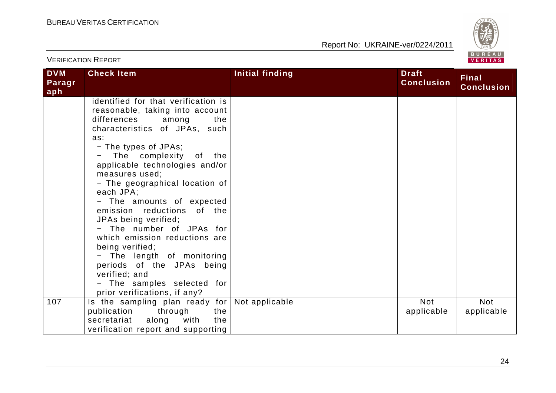

| <b>DVM</b><br>Paragr<br>aph | <b>Check Item</b>                                                                                                                                                                                                                                                                                                                                                                                                                                                                                                                                                                                           | <b>Initial finding</b> | <b>Draft</b><br><b>Conclusion</b> | <b>Final</b><br><b>Conclusion</b> |
|-----------------------------|-------------------------------------------------------------------------------------------------------------------------------------------------------------------------------------------------------------------------------------------------------------------------------------------------------------------------------------------------------------------------------------------------------------------------------------------------------------------------------------------------------------------------------------------------------------------------------------------------------------|------------------------|-----------------------------------|-----------------------------------|
|                             | identified for that verification is<br>reasonable, taking into account<br>differences among<br>the<br>characteristics of JPAs, such<br>as:<br>- The types of JPAs;<br>The complexity of the<br>applicable technologies and/or<br>measures used;<br>- The geographical location of<br>each JPA;<br>- The amounts of expected<br>emission reductions of the<br>JPAs being verified;<br>- The number of JPAs for<br>which emission reductions are<br>being verified;<br>- The length of monitoring<br>periods of the JPAs being<br>verified; and<br>- The samples selected for<br>prior verifications, if any? |                        |                                   |                                   |
| 107                         | Is the sampling plan ready for<br>the<br>publication<br>through<br>along<br>with<br>secretariat<br>the<br>verification report and supporting                                                                                                                                                                                                                                                                                                                                                                                                                                                                | Not applicable         | <b>Not</b><br>applicable          | <b>Not</b><br>applicable          |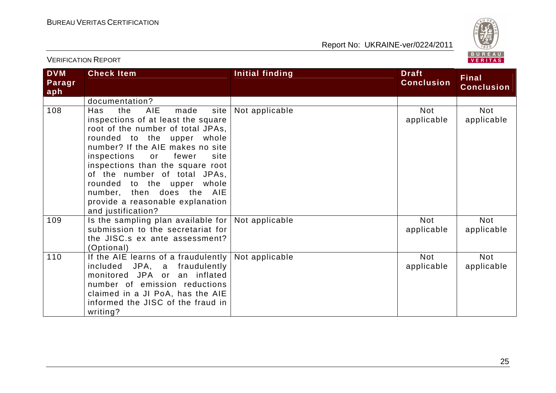

| <b>DVM</b><br>Paragr<br>aph | <b>Check Item</b>                                                                                                                                                                                                                                                                                                                                                                                                   | Initial finding | <b>Draft</b><br><b>Conclusion</b> | <b>Final</b><br><b>Conclusion</b> |
|-----------------------------|---------------------------------------------------------------------------------------------------------------------------------------------------------------------------------------------------------------------------------------------------------------------------------------------------------------------------------------------------------------------------------------------------------------------|-----------------|-----------------------------------|-----------------------------------|
|                             | documentation?                                                                                                                                                                                                                                                                                                                                                                                                      |                 |                                   |                                   |
| 108                         | <b>AIE</b><br>made<br>site  <br>Has<br>the<br>inspections of at least the square<br>root of the number of total JPAs,<br>rounded to the upper whole<br>number? If the AIE makes no site<br>inspections or<br>fewer<br>site<br>inspections than the square root<br>of the number of total JPAs,<br>rounded to the upper whole<br>number, then does the AIE<br>provide a reasonable explanation<br>and justification? | Not applicable  | <b>Not</b><br>applicable          | <b>Not</b><br>applicable          |
| 109                         | Is the sampling plan available for $ $<br>submission to the secretariat for<br>the JISC.s ex ante assessment?<br>(Optional)                                                                                                                                                                                                                                                                                         | Not applicable  | <b>Not</b><br>applicable          | <b>Not</b><br>applicable          |
| 110                         | If the AIE learns of a fraudulently $ $<br>included JPA, a fraudulently<br>monitored JPA or an inflated<br>number of emission reductions<br>claimed in a JI PoA, has the AIE<br>informed the JISC of the fraud in<br>writing?                                                                                                                                                                                       | Not applicable  | <b>Not</b><br>applicable          | <b>Not</b><br>applicable          |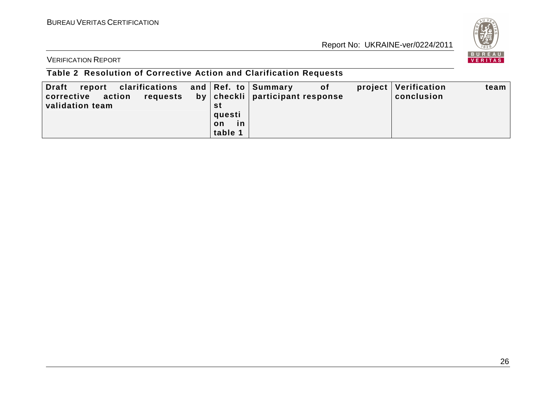

VERIFICATION REPORT

# **Table 2 Resolution of Corrective Action and Clarification Requests**

| report clarifications and Ref. to Summary<br><b>Draft</b><br>corrective action<br>requests |          | 0f<br>by   checkli   participant response | project   Verification<br>conclusion | team |
|--------------------------------------------------------------------------------------------|----------|-------------------------------------------|--------------------------------------|------|
| validation team                                                                            | st       |                                           |                                      |      |
|                                                                                            | questi   |                                           |                                      |      |
|                                                                                            | in<br>on |                                           |                                      |      |
|                                                                                            | table 1  |                                           |                                      |      |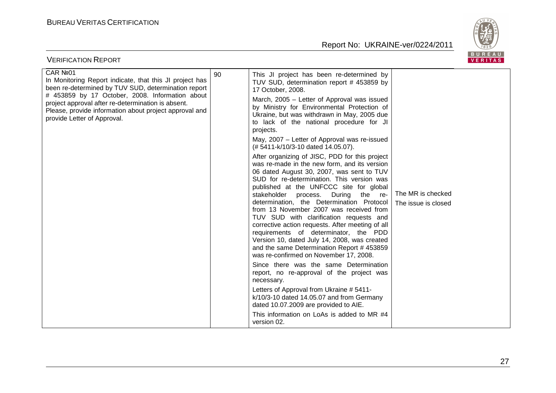

| $P$ D U N E A U<br><b>VERIFICATION REPORT</b><br>VERITAS                                                                                                                                                                                                                                                                     |    |                                                                                                                                                                                                                                                                                                                                                                                                                                                                                                                                                                                                                                                                                                                                                                                                                                                                                                                                                                                                                                                                                                                                                                                                                                                                                                                                                                      |                                          |  |  |
|------------------------------------------------------------------------------------------------------------------------------------------------------------------------------------------------------------------------------------------------------------------------------------------------------------------------------|----|----------------------------------------------------------------------------------------------------------------------------------------------------------------------------------------------------------------------------------------------------------------------------------------------------------------------------------------------------------------------------------------------------------------------------------------------------------------------------------------------------------------------------------------------------------------------------------------------------------------------------------------------------------------------------------------------------------------------------------------------------------------------------------------------------------------------------------------------------------------------------------------------------------------------------------------------------------------------------------------------------------------------------------------------------------------------------------------------------------------------------------------------------------------------------------------------------------------------------------------------------------------------------------------------------------------------------------------------------------------------|------------------------------------------|--|--|
| CAR Nº01<br>In Monitoring Report indicate, that this JI project has<br>been re-determined by TUV SUD, determination report<br># 453859 by 17 October, 2008. Information about<br>project approval after re-determination is absent.<br>Please, provide information about project approval and<br>provide Letter of Approval. | 90 | This JI project has been re-determined by<br>TUV SUD, determination report # 453859 by<br>17 October, 2008.<br>March, 2005 - Letter of Approval was issued<br>by Ministry for Environmental Protection of<br>Ukraine, but was withdrawn in May, 2005 due<br>to lack of the national procedure for JI<br>projects.<br>May, 2007 - Letter of Approval was re-issued<br>(#5411-k/10/3-10 dated 14.05.07).<br>After organizing of JISC, PDD for this project<br>was re-made in the new form, and its version<br>06 dated August 30, 2007, was sent to TUV<br>SUD for re-determination. This version was<br>published at the UNFCCC site for global<br>stakeholder process.<br>During the re-<br>determination, the Determination Protocol<br>from 13 November 2007 was received from<br>TUV SUD with clarification requests and<br>corrective action requests. After meeting of all<br>requirements of determinator, the PDD<br>Version 10, dated July 14, 2008, was created<br>and the same Determination Report # 453859<br>was re-confirmed on November 17, 2008.<br>Since there was the same Determination<br>report, no re-approval of the project was<br>necessary.<br>Letters of Approval from Ukraine # 5411-<br>k/10/3-10 dated 14.05.07 and from Germany<br>dated 10.07.2009 are provided to AIE.<br>This information on LoAs is added to MR #4<br>version 02. | The MR is checked<br>The issue is closed |  |  |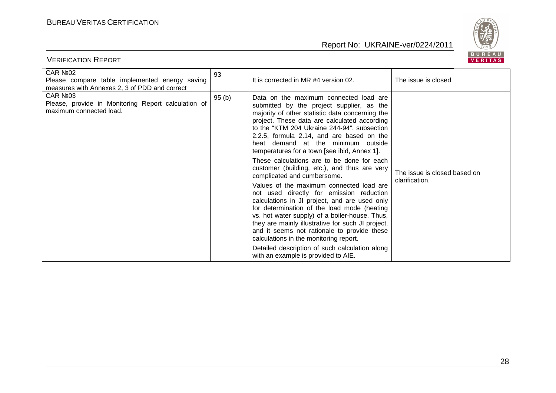

| CAR Nº02<br>Please compare table implemented energy saving<br>measures with Annexes 2, 3 of PDD and correct | 93    | It is corrected in MR #4 version 02.                                                                                                                                                                                                                                                                                                                                                                                                                                                                                                                                                                                                                                                                                                                                                                                                                                                                                                                                                   | The issue is closed                            |
|-------------------------------------------------------------------------------------------------------------|-------|----------------------------------------------------------------------------------------------------------------------------------------------------------------------------------------------------------------------------------------------------------------------------------------------------------------------------------------------------------------------------------------------------------------------------------------------------------------------------------------------------------------------------------------------------------------------------------------------------------------------------------------------------------------------------------------------------------------------------------------------------------------------------------------------------------------------------------------------------------------------------------------------------------------------------------------------------------------------------------------|------------------------------------------------|
| CAR №03<br>Please, provide in Monitoring Report calculation of<br>maximum connected load.                   | 95(b) | Data on the maximum connected load are<br>submitted by the project supplier, as the<br>majority of other statistic data concerning the<br>project. These data are calculated according<br>to the "KTM 204 Ukraine 244-94", subsection<br>2.2.5, formula 2.14, and are based on the<br>heat demand at the minimum outside<br>temperatures for a town [see ibid, Annex 1].<br>These calculations are to be done for each<br>customer (building, etc.), and thus are very<br>complicated and cumbersome.<br>Values of the maximum connected load are<br>not used directly for emission reduction<br>calculations in JI project, and are used only<br>for determination of the load mode (heating<br>vs. hot water supply) of a boiler-house. Thus,<br>they are mainly illustrative for such JI project,<br>and it seems not rationale to provide these<br>calculations in the monitoring report.<br>Detailed description of such calculation along<br>with an example is provided to AIE. | The issue is closed based on<br>clarification. |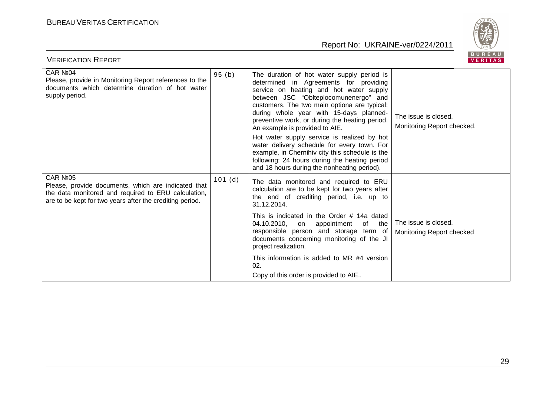

| CAR Nº04<br>Please, provide in Monitoring Report references to the<br>documents which determine duration of hot water<br>supply period.                                                        | 95(b)  | The duration of hot water supply period is<br>determined in Agreements for providing<br>service on heating and hot water supply<br>between JSC "Oblteplocomunenergo" and<br>customers. The two main optiona are typical:<br>during whole year with 15-days planned-<br>preventive work, or during the heating period.<br>An example is provided to AIE.<br>Hot water supply service is realized by hot<br>water delivery schedule for every town. For<br>example, in Chernihiv city this schedule is the<br>following: 24 hours during the heating period<br>and 18 hours during the nonheating period). | The issue is closed.<br>Monitoring Report checked. |
|------------------------------------------------------------------------------------------------------------------------------------------------------------------------------------------------|--------|----------------------------------------------------------------------------------------------------------------------------------------------------------------------------------------------------------------------------------------------------------------------------------------------------------------------------------------------------------------------------------------------------------------------------------------------------------------------------------------------------------------------------------------------------------------------------------------------------------|----------------------------------------------------|
| CAR Nº <sub>05</sub><br>Please, provide documents, which are indicated that<br>the data monitored and required to ERU calculation,<br>are to be kept for two years after the crediting period. | 101(d) | The data monitored and required to ERU<br>calculation are to be kept for two years after<br>the end of crediting period, i.e. up to<br>31.12.2014.<br>This is indicated in the Order # 14a dated<br>04.10.2010, on appointment<br>of the<br>responsible person and storage term of<br>documents concerning monitoring of the JI<br>project realization.<br>This information is added to MR #4 version<br>02.<br>Copy of this order is provided to AIE                                                                                                                                                    | The issue is closed.<br>Monitoring Report checked  |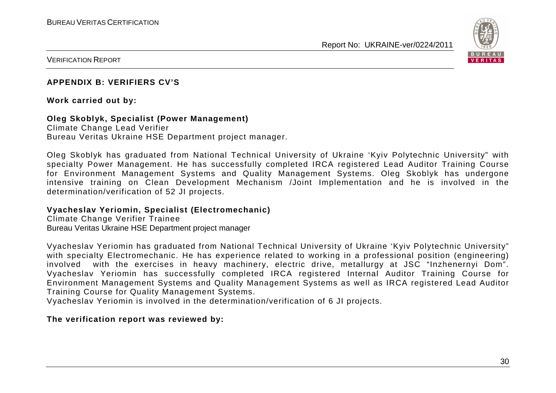

VERIFICATION REPORT

#### **APPENDIX B: VERIFIERS CV'S**

#### **Work carried out by:**

#### **Oleg Skoblyk, Specialist (Power Management)**

Climate Change Lead Verifier Bureau Veritas Ukraine HSE Department project manager.

Oleg Skoblyk has graduated from National Technical University of Ukraine 'Kyiv Polytechnic University" with specialty Power Management. He has successfully completed IRCA registered Lead Auditor Training Course for Environment Management Systems and Quality Management Systems. Oleg Skoblyk has undergone intensive training on Clean Development Mechanism /Joint Implementation and he is involved in the determination/verification of 52 JI projects.

#### **Vyacheslav Yeriomin, Specialist (Electromechanic)**

Climate Change Verifier Trainee Bureau Veritas Ukraine HSE Department project manager

Vyacheslav Yeriomin has graduated from National Technical University of Ukraine 'Kyiv Polytechnic University" with specialty Electromechanic. He has experience related to working in a professional position (engineering) involved with the exercises in heavy machinery, electric drive, metallurgy at JSC "Inzhenernyi Dom". Vyacheslav Yeriomin has successfully completed IRCA registered Internal Auditor Training Course for Environment Management Systems and Quality Management Systems as well as IRCA registered Lead Auditor Training Course for Quality Management Systems.

Vyacheslav Yeriomin is involved in the determination/verification of 6 JI projects.

#### **The verification report was reviewed by:**